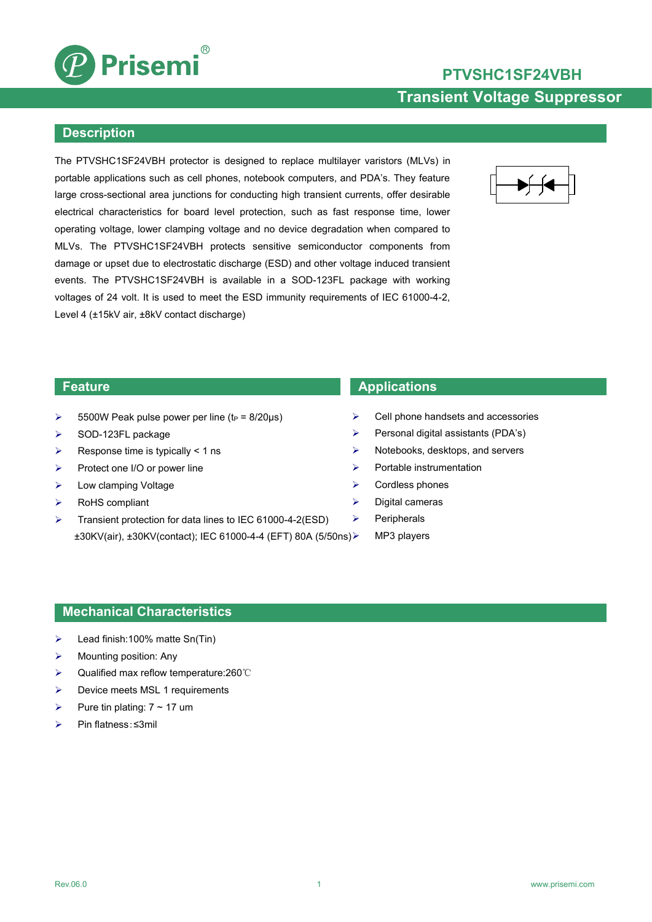

# **PTVSHC1SF24VBH Transient Voltage Suppressor**

#### **Description**

The PTVSHC1SF24VBH protector is designed to replace multilayer varistors (MLVs) in portable applications such as cell phones, notebook computers, and PDA's. They feature large cross-sectional area junctions for conducting high transient currents, offer desirable electrical characteristics for board level protection, such as fast response time, lower operating voltage, lower clamping voltage and no device degradation when compared to MLVs. The PTVSHC1SF24VBH protects sensitive semiconductor components from damage or upset due to electrostatic discharge (ESD) and other voltage induced transient events. The PTVSHC1SF24VBH is available in a SOD-123FL package with working voltages of 24 volt. It is used to meet the ESD immunity requirements of IEC 61000-4-2, Level 4 (±15kV air, ±8kV contact discharge)



- $\geq$  5500W Peak pulse power per line (t<sub>P</sub> = 8/20us)
- $\triangleright$  SOD-123FL package
- $\triangleright$  Response time is typically < 1 ns
- $\triangleright$  Protect one I/O or power line
- > Low clamping Voltage
- RoHS compliant
- $\triangleright$  Transient protection for data lines to IEC 61000-4-2(ESD)  $\triangleright$ ±30KV(air), ±30KV(contact); IEC 61000-4-4 (EFT) 80A (5/50ns)

#### **Feature Applications**

- Cell phone handsets and accessories
- $\triangleright$  Personal digital assistants (PDA's)
- $\triangleright$  Notebooks, desktops, and servers
- $\triangleright$  Portable instrumentation
- $\triangleright$  Cordless phones
- $\triangleright$  Digital cameras
	- Peripherals
	- MP3 players

#### **Mechanical Characteristics**

- Lead finish:100% matte Sn(Tin)
- $\triangleright$  Mounting position: Any
- Qualified max reflow temperature:260℃
- $\triangleright$  Device meets MSL 1 requirements
- Pure tin plating:  $7 \sim 17$  um
- Pin flatness:≤3mil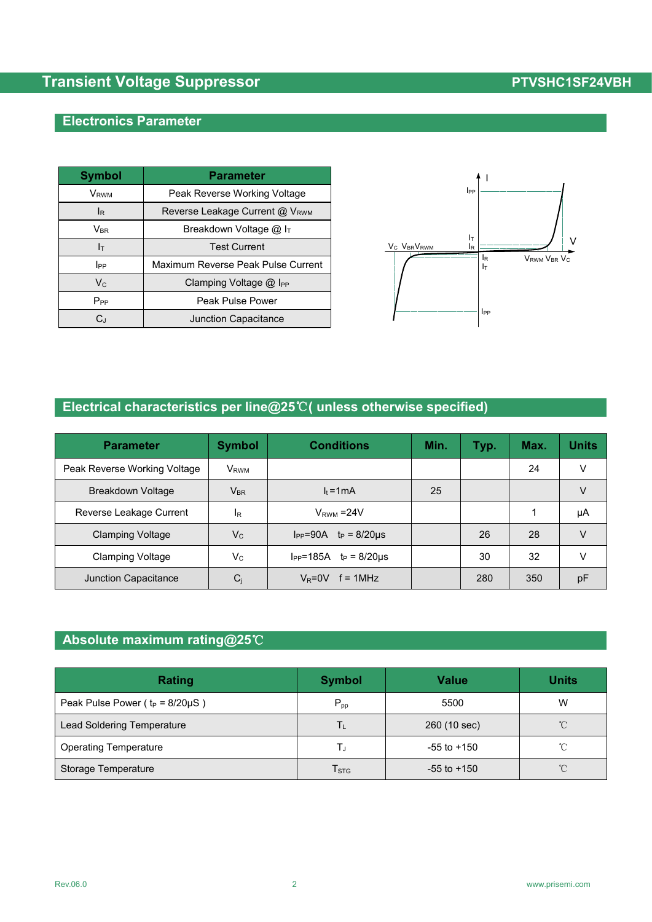### **Electronics Parameter**

| <b>Symbol</b>              | <b>Parameter</b>                   |                                                                                    |
|----------------------------|------------------------------------|------------------------------------------------------------------------------------|
| V <sub>RWM</sub>           | Peak Reverse Working Voltage       | $_{\rm lpp}$                                                                       |
| <sub>lR</sub>              | Reverse Leakage Current @ VRWM     |                                                                                    |
| $\mathsf{V}_{\mathsf{BR}}$ | Breakdown Voltage @ IT             |                                                                                    |
| Iт                         | <b>Test Current</b>                | ΙT<br>V <sub>C</sub> V <sub>BR</sub> V <sub>RWM</sub><br>$\mathsf{I}_{\mathsf{R}}$ |
| $_{\rm lpp}$               | Maximum Reverse Peak Pulse Current |                                                                                    |
| $V_{C}$                    | Clamping Voltage @ I <sub>PP</sub> |                                                                                    |
| $P_{PP}$                   | Peak Pulse Power                   |                                                                                    |
| C,                         | Junction Capacitance               |                                                                                    |



# **Electrical characteristics per line@25**℃**( unless otherwise specified)**

| <b>Parameter</b>             | <b>Symbol</b>           | <b>Conditions</b>                 | Min. | Typ. | Max. | <b>Units</b> |
|------------------------------|-------------------------|-----------------------------------|------|------|------|--------------|
| Peak Reverse Working Voltage | <b>V</b> <sub>RWM</sub> |                                   |      |      | 24   | V            |
| Breakdown Voltage            | $V_{BR}$                | $l_t = 1$ mA                      | 25   |      |      | V            |
| Reverse Leakage Current      | ΙR                      | $V_{RWM} = 24V$                   |      |      |      | μA           |
| <b>Clamping Voltage</b>      | $V_{C}$                 | $I_{PP} = 90A$ $t_P = 8/20 \mu s$ |      | 26   | 28   | V            |
| <b>Clamping Voltage</b>      | $V_{C}$                 | $I_{PP} = 185A$ $t_P = 8/20\mu s$ |      | 30   | 32   | V            |
| Junction Capacitance         | $C_i$                   | $V_R = 0V$ f = 1MHz               |      | 280  | 350  | pF           |

### **Absolute maximum rating@25**℃

| Rating                                 | <b>Symbol</b>               | <b>Value</b>    | <b>Units</b>        |
|----------------------------------------|-----------------------------|-----------------|---------------------|
| Peak Pulse Power ( $t_P = 8/20\mu S$ ) | $P_{\text{pp}}$             | 5500            | W                   |
| Lead Soldering Temperature             | $\mathsf{T}_\mathsf{L}$     | 260 (10 sec)    | $^{\circ}$ C        |
| <b>Operating Temperature</b>           |                             | $-55$ to $+150$ | °C                  |
| Storage Temperature                    | $\mathsf{T}_{\texttt{STG}}$ | $-55$ to $+150$ | $^{\circ}\!{\rm C}$ |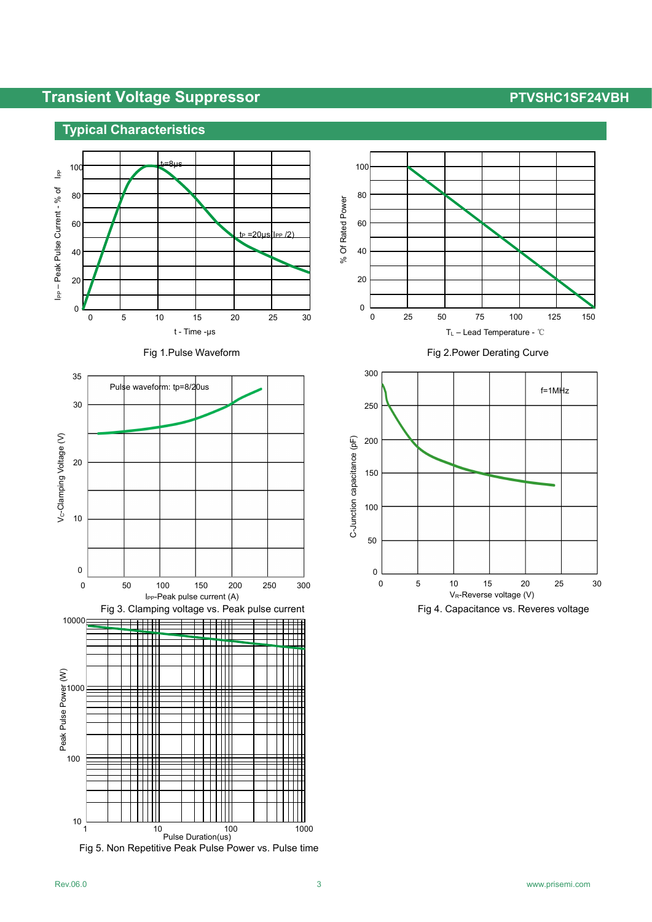### **Typical Characteristics**











Fig 1.Pulse Waveform **Fig 2.Power Derating Curve** 

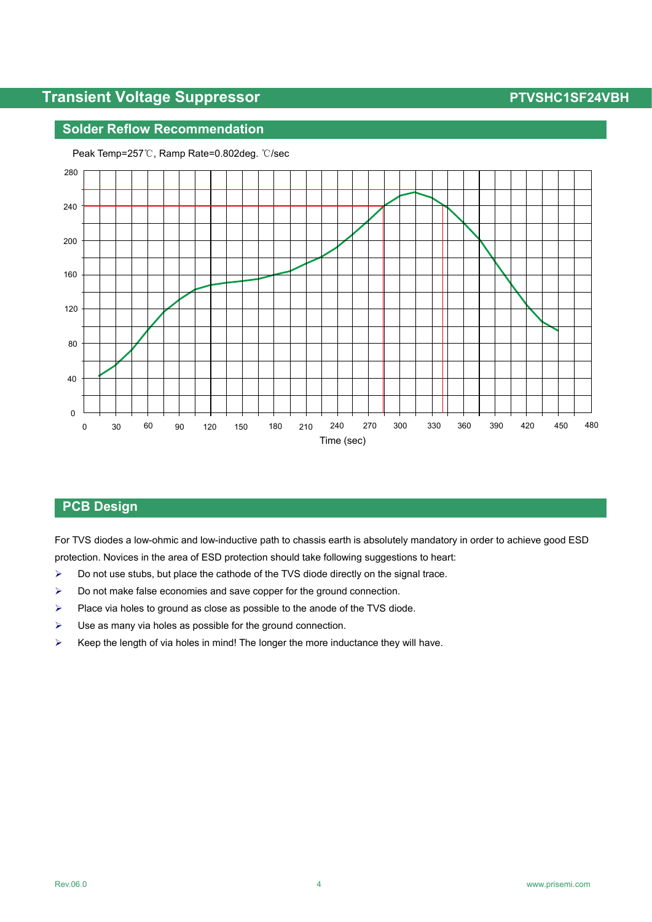#### **Solder Reflow Recommendation**



Peak Temp=257℃, Ramp Rate=0.802deg. ℃/sec

### **PCB Design**

For TVS diodes a low-ohmic and low-inductive path to chassis earth is absolutely mandatory in order to achieve good ESD protection. Novices in the area of ESD protection should take following suggestions to heart:

- $\triangleright$  Do not use stubs, but place the cathode of the TVS diode directly on the signal trace.
- $\triangleright$  Do not make false economies and save copper for the ground connection.
- $\triangleright$  Place via holes to ground as close as possible to the anode of the TVS diode.
- $\triangleright$  Use as many via holes as possible for the ground connection.
- $\triangleright$  Keep the length of via holes in mind! The longer the more inductance they will have.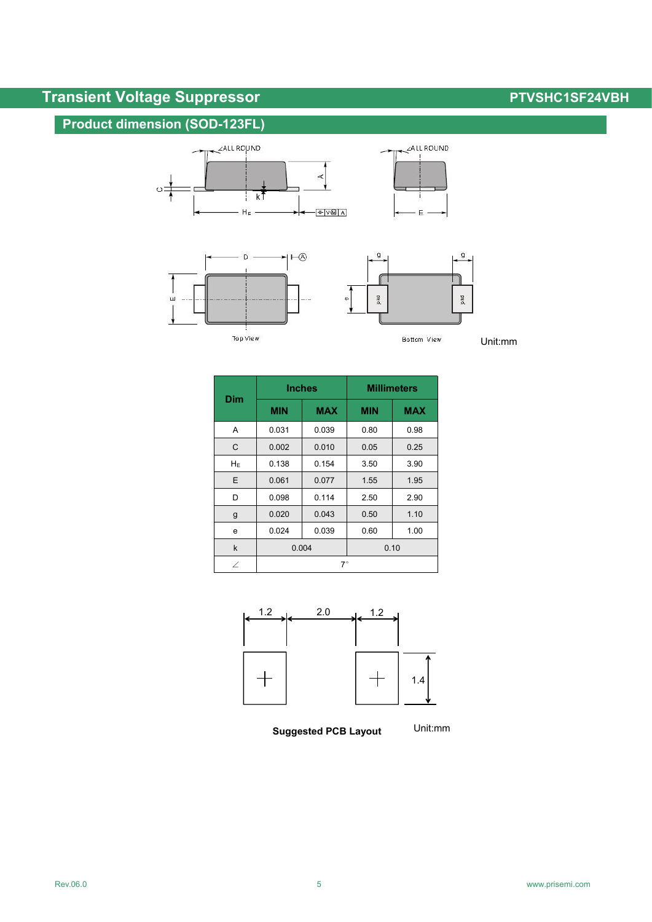# **Product dimension (SOD-123FL)**







 $E$ 

Bottom View

Unit:mm



|              | <b>Inches</b> |            | <b>Millimeters</b> |            |  |
|--------------|---------------|------------|--------------------|------------|--|
| <b>Dim</b>   | <b>MIN</b>    | <b>MAX</b> | <b>MIN</b>         | <b>MAX</b> |  |
| Α            | 0.031         | 0.039      | 0.80               | 0.98       |  |
| C            | 0.002         | 0.010      | 0.05               | 0.25       |  |
| $H_E$        | 0.138         | 0.154      | 3.50               | 3.90       |  |
| E            | 0.061         | 0.077      | 1.55               | 1.95       |  |
| D            | 0.098         | 0.114      | 2.50               | 2.90       |  |
| g            | 0.020         | 0.043      | 0.50               | 1.10       |  |
| e            | 0.024         | 0.039      | 0.60               | 1.00       |  |
| $\mathsf{k}$ | 0.004         |            | 0.10               |            |  |
| $\angle$     | $7^{\circ}$   |            |                    |            |  |



**Suggested PCB Layout**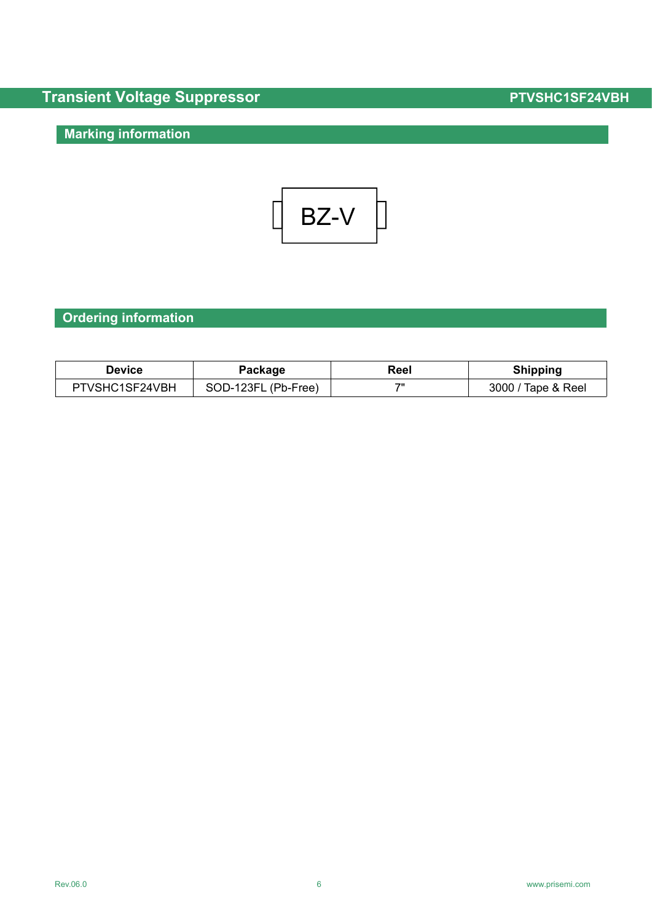# **Marking information**

$$
\begin{array}{|c|c|c|c|}\n\hline\n\text{BZ-V} & \text{ }
$$

# **Ordering information**

| Device        | Package   | Reel | Shipping    |
|---------------|-----------|------|-------------|
| TVSHC1SF24VBH | SOD-123FL | 711  | 3000        |
| דם            | (Pb-Free) |      | Tape & Reel |

#### Rev.06.0 6 [www.prisemi.com](http://www.prisemi.com)